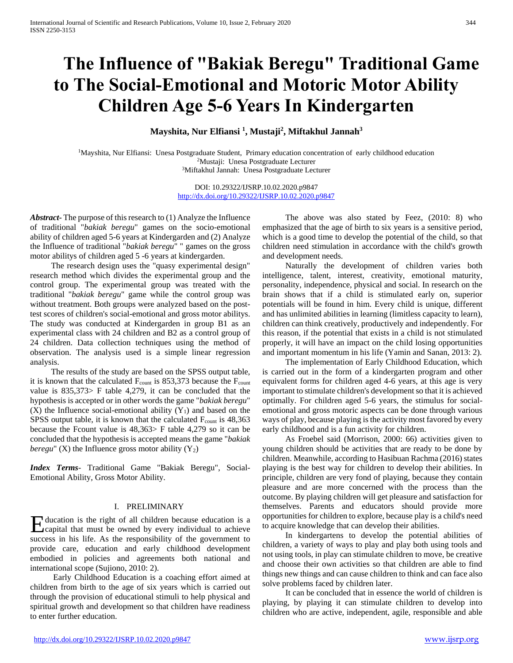# **The Influence of "Bakiak Beregu" Traditional Game to The Social-Emotional and Motoric Motor Ability Children Age 5-6 Years In Kindergarten**

**Mayshita, Nur Elfiansi <sup>1</sup> , Mustaji<sup>2</sup> , Miftakhul Jannah<sup>3</sup>**

<sup>1</sup>Mayshita, Nur Elfiansi: Unesa Postgraduate Student, Primary education concentration of early childhood education <sup>2</sup>Mustaji: Unesa Postgraduate Lecturer <sup>3</sup>Miftakhul Jannah: Unesa Postgraduate Lecturer

> DOI: 10.29322/IJSRP.10.02.2020.p9847 <http://dx.doi.org/10.29322/IJSRP.10.02.2020.p9847>

*Abstract***-** The purpose of this research to (1) Analyze the Influence of traditional "*bakiak beregu*" games on the socio-emotional ability of children aged 5-6 years at Kindergarden and (2) Analyze the Influence of traditional "*bakiak beregu*" " games on the gross motor abilitys of children aged 5 -6 years at kindergarden.

 The research design uses the "quasy experimental design" research method which divides the experimental group and the control group. The experimental group was treated with the traditional "*bakiak beregu*" game while the control group was without treatment. Both groups were analyzed based on the posttest scores of children's social-emotional and gross motor abilitys. The study was conducted at Kindergarden in group B1 as an experimental class with 24 children and B2 as a control group of 24 children. Data collection techniques using the method of observation. The analysis used is a simple linear regression analysis.

 The results of the study are based on the SPSS output table, it is known that the calculated  $F_{\text{count}}$  is 853,373 because the  $F_{\text{count}}$ value is 835,373> F table 4,279, it can be concluded that the hypothesis is accepted or in other words the game "*bakiak beregu*"  $(X)$  the Influence social-emotional ability  $(Y_1)$  and based on the SPSS output table, it is known that the calculated  $F_{\text{count}}$  is 48,363 because the Fcount value is 48,363> F table 4,279 so it can be concluded that the hypothesis is accepted means the game "*bakiak beregu*" (X) the Influence gross motor ability  $(Y_2)$ 

*Index Terms*- Traditional Game "Bakiak Beregu", Social-Emotional Ability, Gross Motor Ability.

#### I. PRELIMINARY

ducation is the right of all children because education is a Education is the right of all children because education is a capital that must be owned by every individual to achieve success in his life. As the responsibility of the government to provide care, education and early childhood development embodied in policies and agreements both national and international scope (Sujiono, 2010: 2).

 Early Childhood Education is a coaching effort aimed at children from birth to the age of six years which is carried out through the provision of educational stimuli to help physical and spiritual growth and development so that children have readiness to enter further education.

 The above was also stated by Feez, (2010: 8) who emphasized that the age of birth to six years is a sensitive period, which is a good time to develop the potential of the child, so that children need stimulation in accordance with the child's growth and development needs.

 Naturally the development of children varies both intelligence, talent, interest, creativity, emotional maturity, personality, independence, physical and social. In research on the brain shows that if a child is stimulated early on, superior potentials will be found in him. Every child is unique, different and has unlimited abilities in learning (limitless capacity to learn), children can think creatively, productively and independently. For this reason, if the potential that exists in a child is not stimulated properly, it will have an impact on the child losing opportunities and important momentum in his life (Yamin and Sanan, 2013: 2).

 The implementation of Early Childhood Education, which is carried out in the form of a kindergarten program and other equivalent forms for children aged 4-6 years, at this age is very important to stimulate children's development so that it is achieved optimally. For children aged 5-6 years, the stimulus for socialemotional and gross motoric aspects can be done through various ways of play, because playing is the activity most favored by every early childhood and is a fun activity for children.

 As Froebel said (Morrison, 2000: 66) activities given to young children should be activities that are ready to be done by children. Meanwhile, according to Hasibuan Rachma (2016) states playing is the best way for children to develop their abilities. In principle, children are very fond of playing, because they contain pleasure and are more concerned with the process than the outcome. By playing children will get pleasure and satisfaction for themselves. Parents and educators should provide more opportunities for children to explore, because play is a child's need to acquire knowledge that can develop their abilities.

 In kindergartens to develop the potential abilities of children, a variety of ways to play and play both using tools and not using tools, in play can stimulate children to move, be creative and choose their own activities so that children are able to find things new things and can cause children to think and can face also solve problems faced by children later.

 It can be concluded that in essence the world of children is playing, by playing it can stimulate children to develop into children who are active, independent, agile, responsible and able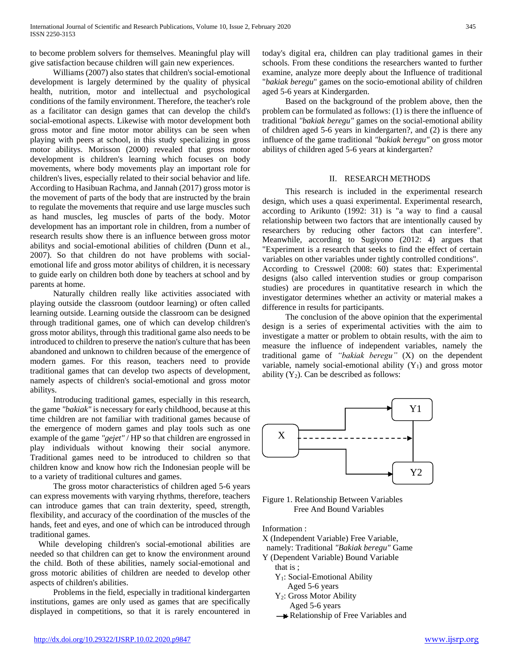to become problem solvers for themselves. Meaningful play will give satisfaction because children will gain new experiences.

 Williams (2007) also states that children's social-emotional development is largely determined by the quality of physical health, nutrition, motor and intellectual and psychological conditions of the family environment. Therefore, the teacher's role as a facilitator can design games that can develop the child's social-emotional aspects. Likewise with motor development both gross motor and fine motor motor abilitys can be seen when playing with peers at school, in this study specializing in gross motor abilitys. Morisson (2000) revealed that gross motor development is children's learning which focuses on body movements, where body movements play an important role for children's lives, especially related to their social behavior and life. According to Hasibuan Rachma, and Jannah (2017) gross motor is the movement of parts of the body that are instructed by the brain to regulate the movements that require and use large muscles such as hand muscles, leg muscles of parts of the body. Motor development has an important role in children, from a number of research results show there is an influence between gross motor abilitys and social-emotional abilities of children (Dunn et al., 2007). So that children do not have problems with socialemotional life and gross motor abilitys of children, it is necessary to guide early on children both done by teachers at school and by parents at home.

 Naturally children really like activities associated with playing outside the classroom (outdoor learning) or often called learning outside. Learning outside the classroom can be designed through traditional games, one of which can develop children's gross motor abilitys, through this traditional game also needs to be introduced to children to preserve the nation's culture that has been abandoned and unknown to children because of the emergence of modern games. For this reason, teachers need to provide traditional games that can develop two aspects of development, namely aspects of children's social-emotional and gross motor abilitys.

 Introducing traditional games, especially in this research, the game *"bakiak"* is necessary for early childhood, because at this time children are not familiar with traditional games because of the emergence of modern games and play tools such as one example of the game *"gejet"* / HP so that children are engrossed in play individuals without knowing their social anymore. Traditional games need to be introduced to children so that children know and know how rich the Indonesian people will be to a variety of traditional cultures and games.

 The gross motor characteristics of children aged 5-6 years can express movements with varying rhythms, therefore, teachers can introduce games that can train dexterity, speed, strength, flexibility, and accuracy of the coordination of the muscles of the hands, feet and eyes, and one of which can be introduced through traditional games.

 While developing children's social-emotional abilities are needed so that children can get to know the environment around the child. Both of these abilities, namely social-emotional and gross motoric abilities of children are needed to develop other aspects of children's abilities.

 Problems in the field, especially in traditional kindergarten institutions, games are only used as games that are specifically displayed in competitions, so that it is rarely encountered in today's digital era, children can play traditional games in their schools. From these conditions the researchers wanted to further examine, analyze more deeply about the Influence of traditional "*bakiak beregu*" games on the socio-emotional ability of children aged 5-6 years at Kindergarden.

 Based on the background of the problem above, then the problem can be formulated as follows: (1) is there the influence of traditional *"bakiak beregu"* games on the social-emotional ability of children aged 5-6 years in kindergarten?, and (2) is there any influence of the game traditional *"bakiak beregu"* on gross motor abilitys of children aged 5-6 years at kindergarten?

#### II. RESEARCH METHODS

 This research is included in the experimental research design, which uses a quasi experimental. Experimental research, according to Arikunto (1992: 31) is "a way to find a causal relationship between two factors that are intentionally caused by researchers by reducing other factors that can interfere". Meanwhile, according to Sugiyono (2012: 4) argues that "Experiment is a research that seeks to find the effect of certain variables on other variables under tightly controlled conditions". According to Cresswel (2008: 60) states that: Experimental designs (also called intervention studies or group comparison studies) are procedures in quantitative research in which the investigator determines whether an activity or material makes a difference in results for participants.

 The conclusion of the above opinion that the experimental design is a series of experimental activities with the aim to investigate a matter or problem to obtain results, with the aim to measure the influence of independent variables, namely the traditional game of *"bakiak beregu"* (X) on the dependent variable, namely social-emotional ability  $(Y_1)$  and gross motor ability  $(Y_2)$ . Can be described as follows:



Figure 1. Relationship Between Variables Free And Bound Variables

Information :

- X (Independent Variable) Free Variable,
- namely: Traditional *"Bakiak beregu"* Game
- Y (Dependent Variable) Bound Variable
	- that is ; Y1: Social-Emotional Ability
		- Aged 5-6 years
	- Y2: Gross Motor Ability Aged 5-6 years
	- Relationship of Free Variables and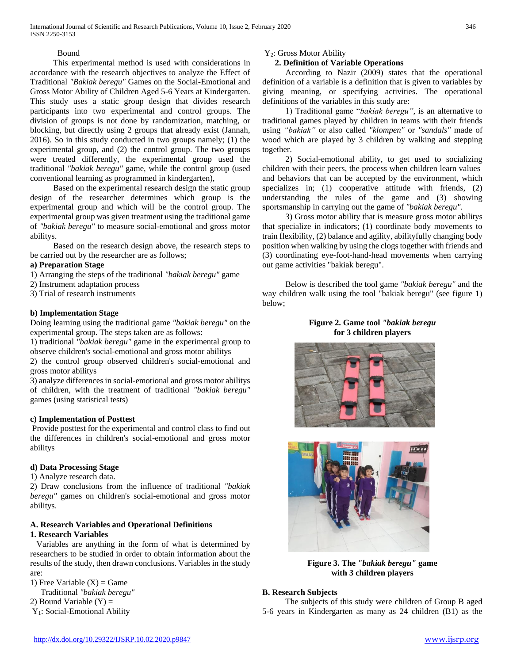# Bound

 This experimental method is used with considerations in accordance with the research objectives to analyze the Effect of Traditional *"Bakiak beregu"* Games on the Social-Emotional and Gross Motor Ability of Children Aged 5-6 Years at Kindergarten. This study uses a static group design that divides research participants into two experimental and control groups. The division of groups is not done by randomization, matching, or blocking, but directly using 2 groups that already exist (Jannah, 2016). So in this study conducted in two groups namely; (1) the experimental group, and (2) the control group. The two groups were treated differently, the experimental group used the traditional *"bakiak beregu"* game, while the control group (used conventional learning as programmed in kindergarten),

 Based on the experimental research design the static group design of the researcher determines which group is the experimental group and which will be the control group. The experimental group was given treatment using the traditional game of *"bakiak beregu"* to measure social-emotional and gross motor abilitys.

 Based on the research design above, the research steps to be carried out by the researcher are as follows;

# **a) Preparation Stage**

- 1) Arranging the steps of the traditional *"bakiak beregu"* game
- 2) Instrument adaptation process
- 3) Trial of research instruments

# **b) Implementation Stage**

Doing learning using the traditional game *"bakiak beregu"* on the experimental group. The steps taken are as follows:

1) traditional *"bakiak beregu"* game in the experimental group to observe children's social-emotional and gross motor abilitys

2) the control group observed children's social-emotional and gross motor abilitys

3) analyze differences in social-emotional and gross motor abilitys of children, with the treatment of traditional *"bakiak beregu"* games (using statistical tests)

# **c) Implementation of Posttest**

Provide posttest for the experimental and control class to find out the differences in children's social-emotional and gross motor abilitys

# **d) Data Processing Stage**

1) Analyze research data.

2) Draw conclusions from the influence of traditional *"bakiak beregu"* games on children's social-emotional and gross motor abilitys.

## **A. Research Variables and Operational Definitions 1. Research Variables**

 Variables are anything in the form of what is determined by researchers to be studied in order to obtain information about the results of the study, then drawn conclusions. Variables in the study are:

1) Free Variable  $(X)$  = Game

Traditional *"bakiak beregu"*

- 2) Bound Variable  $(Y)$  =
- Y1: Social-Emotional Ability

# Y2: Gross Motor Ability

# **2. Definition of Variable Operations**

 According to Nazir (2009) states that the operational definition of a variable is a definition that is given to variables by giving meaning, or specifying activities. The operational definitions of the variables in this study are:

 1) Traditional game "*bakiak beregu"*, is an alternative to traditional games played by children in teams with their friends using *"bakiak"* or also called *"klompen"* or *"sandals"* made of wood which are played by 3 children by walking and stepping together.

 2) Social-emotional ability, to get used to socializing children with their peers, the process when children learn values and behaviors that can be accepted by the environment, which specializes in; (1) cooperative attitude with friends, (2) understanding the rules of the game and (3) showing sportsmanship in carrying out the game of *"bakiak beregu"*.

 3) Gross motor ability that is measure gross motor abilitys that specialize in indicators; (1) coordinate body movements to train flexibility, (2) balance and agility, abilityfully changing body position when walking by using the clogs together with friends and (3) coordinating eye-foot-hand-head movements when carrying out game activities "bakiak beregu".

 Below is described the tool game *"bakiak beregu"* and the way children walk using the tool "bakiak beregu" (see figure 1) below;

## **Figure 2. Game tool** *"bakiak beregu* **for 3 children players**





**Figure 3. The** *"bakiak beregu"* **game with 3 children players**

# **B. Research Subjects**

 The subjects of this study were children of Group B aged 5-6 years in Kindergarten as many as 24 children (B1) as the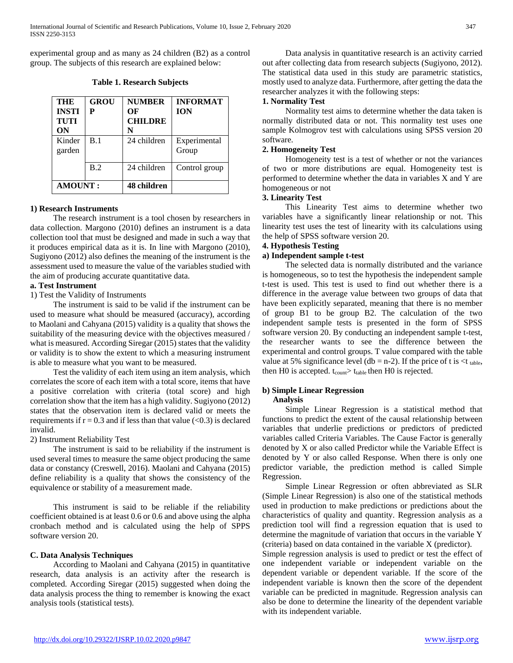experimental group and as many as 24 children (B2) as a control group. The subjects of this research are explained below:

**Table 1. Research Subjects**

| <b>THE</b><br><b>INSTI</b><br><b>TUTI</b><br>ON | <b>GROU</b><br>Р | <b>NUMBER</b><br>ОF<br><b>CHILDRE</b><br>N | <b>INFORMAT</b><br><b>ION</b> |
|-------------------------------------------------|------------------|--------------------------------------------|-------------------------------|
| Kinder<br>garden                                | B.1              | 24 children                                | Experimental<br>Group         |
|                                                 | B.2              | 24 children                                | Control group                 |
| <b>AMOUNT:</b>                                  |                  | 48 children                                |                               |

#### **1) Research Instruments**

 The research instrument is a tool chosen by researchers in data collection. Margono (2010) defines an instrument is a data collection tool that must be designed and made in such a way that it produces empirical data as it is. In line with Margono (2010), Sugiyono (2012) also defines the meaning of the instrument is the assessment used to measure the value of the variables studied with the aim of producing accurate quantitative data.

#### **a. Test Instrument**

1) Test the Validity of Instruments

 The instrument is said to be valid if the instrument can be used to measure what should be measured (accuracy), according to Maolani and Cahyana (2015) validity is a quality that shows the suitability of the measuring device with the objectives measured / what is measured. According Siregar (2015) states that the validity or validity is to show the extent to which a measuring instrument is able to measure what you want to be measured.

 Test the validity of each item using an item analysis, which correlates the score of each item with a total score, items that have a positive correlation with criteria (total score) and high correlation show that the item has a high validity. Sugiyono (2012) states that the observation item is declared valid or meets the requirements if  $r = 0.3$  and if less than that value  $(< 0.3)$  is declared invalid.

#### 2) Instrument Reliability Test

 The instrument is said to be reliability if the instrument is used several times to measure the same object producing the same data or constancy (Creswell, 2016). Maolani and Cahyana (2015) define reliability is a quality that shows the consistency of the equivalence or stability of a measurement made.

 This instrument is said to be reliable if the reliability coefficient obtained is at least 0.6 or 0.6 and above using the alpha cronbach method and is calculated using the help of SPPS software version 20.

#### **C. Data Analysis Techniques**

 According to Maolani and Cahyana (2015) in quantitative research, data analysis is an activity after the research is completed. According Siregar (2015) suggested when doing the data analysis process the thing to remember is knowing the exact analysis tools (statistical tests).

 Data analysis in quantitative research is an activity carried out after collecting data from research subjects (Sugiyono, 2012). The statistical data used in this study are parametric statistics, mostly used to analyze data. Furthermore, after getting the data the researcher analyzes it with the following steps:

#### **1. Normality Test**

 Normality test aims to determine whether the data taken is normally distributed data or not. This normality test uses one sample Kolmogrov test with calculations using SPSS version 20 software.

#### **2. Homogeneity Test**

 Homogeneity test is a test of whether or not the variances of two or more distributions are equal. Homogeneity test is performed to determine whether the data in variables X and Y are homogeneous or not

#### **3. Linearity Test**

 This Linearity Test aims to determine whether two variables have a significantly linear relationship or not. This linearity test uses the test of linearity with its calculations using the help of SPSS software version 20.

#### **4. Hypothesis Testing**

#### **a) Independent sample t-test**

 The selected data is normally distributed and the variance is homogeneous, so to test the hypothesis the independent sample t-test is used. This test is used to find out whether there is a difference in the average value between two groups of data that have been explicitly separated, meaning that there is no member of group B1 to be group B2. The calculation of the two independent sample tests is presented in the form of SPSS software version 20. By conducting an independent sample t-test, the researcher wants to see the difference between the experimental and control groups. T value compared with the table value at 5% significance level (db = n-2). If the price of t is  $lt$ t table, then H0 is accepted.  $t_{\text{count}}$  t<sub>table</sub> then H0 is rejected.

#### **b) Simple Linear Regression**

#### **Analysis**

 Simple Linear Regression is a statistical method that functions to predict the extent of the causal relationship between variables that underlie predictions or predictors of predicted variables called Criteria Variables. The Cause Factor is generally denoted by X or also called Predictor while the Variable Effect is denoted by Y or also called Response. When there is only one predictor variable, the prediction method is called Simple Regression.

 Simple Linear Regression or often abbreviated as SLR (Simple Linear Regression) is also one of the statistical methods used in production to make predictions or predictions about the characteristics of quality and quantity. Regression analysis as a prediction tool will find a regression equation that is used to determine the magnitude of variation that occurs in the variable Y (criteria) based on data contained in the variable X (predictor).

Simple regression analysis is used to predict or test the effect of one independent variable or independent variable on the dependent variable or dependent variable. If the score of the independent variable is known then the score of the dependent variable can be predicted in magnitude. Regression analysis can also be done to determine the linearity of the dependent variable with its independent variable.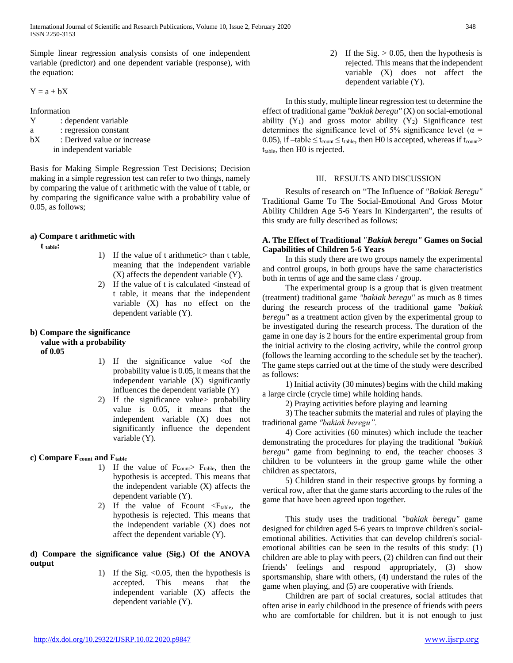International Journal of Scientific and Research Publications, Volume 10, Issue 2, February 2020 348 ISSN 2250-3153

Simple linear regression analysis consists of one independent variable (predictor) and one dependent variable (response), with the equation:

 $Y = a + bX$ 

Information

Y : dependent variable a : regression constant

bX : Derived value or increase in independent variable

Basis for Making Simple Regression Test Decisions; Decision making in a simple regression test can refer to two things, namely by comparing the value of t arithmetic with the value of t table, or by comparing the significance value with a probability value of 0.05, as follows;

#### **a) Compare t arithmetic with**

 **t table:**

- 1) If the value of t arithmetic> than t table, meaning that the independent variable (X) affects the dependent variable (Y).
- 2) If the value of t is calculated  $\leq$  instead of t table, it means that the independent variable (X) has no effect on the dependent variable (Y).

## **b) Compare the significance value with a probability**

 **of 0.05**

- 1) If the significance value  $\leq$  of the probability value is 0.05, it means that the independent variable (X) significantly influences the dependent variable (Y)
- 2) If the significance value> probability value is 0.05, it means that the independent variable (X) does not significantly influence the dependent variable (Y).

# **c) Compare Fcount and Ftable**

- 1) If the value of Fc<sub>ount</sub>> F<sub>table</sub>, then the hypothesis is accepted. This means that the independent variable (X) affects the dependent variable (Y).
- 2) If the value of Fcount  $\langle F_{table}$ , the hypothesis is rejected. This means that the independent variable (X) does not affect the dependent variable (Y).

#### **d) Compare the significance value (Sig.) Of the ANOVA output**

1) If the Sig.  $<0.05$ , then the hypothesis is accepted. This means that the independent variable (X) affects the dependent variable (Y).

2) If the Sig.  $> 0.05$ , then the hypothesis is rejected. This means that the independent variable (X) does not affect the dependent variable (Y).

 In this study, multiple linear regression test to determine the effect of traditional game *"bakiak beregu"* (X) on social-emotional ability  $(Y_1)$  and gross motor ability  $(Y_2)$  Significance test determines the significance level of 5% significance level ( $\alpha$  = 0.05), if  $-\text{table} \leq t_{\text{count}} \leq t_{\text{table}}$ , then H0 is accepted, whereas if  $t_{\text{count}}$  $t_{table}$ , then H0 is rejected.

#### III. RESULTS AND DISCUSSION

 Results of research on "The Influence of *"Bakiak Beregu"* Traditional Game To The Social-Emotional And Gross Motor Ability Children Age 5-6 Years In Kindergarten", the results of this study are fully described as follows:

#### **A. The Effect of Traditional** *"Bakiak beregu"* **Games on Social Capabilities of Children 5-6 Years**

 In this study there are two groups namely the experimental and control groups, in both groups have the same characteristics both in terms of age and the same class / group.

 The experimental group is a group that is given treatment (treatment) traditional game *"bakiak beregu"* as much as 8 times during the research process of the traditional game *"bakiak beregu"* as a treatment action given by the experimental group to be investigated during the research process. The duration of the game in one day is 2 hours for the entire experimental group from the initial activity to the closing activity, while the control group (follows the learning according to the schedule set by the teacher). The game steps carried out at the time of the study were described as follows:

 1) Initial activity (30 minutes) begins with the child making a large circle (crycle time) while holding hands.

2) Praying activities before playing and learning

 3) The teacher submits the material and rules of playing the traditional game *"bakiak beregu".*

 4) Core activities (60 minutes) which include the teacher demonstrating the procedures for playing the traditional *"bakiak beregu"* game from beginning to end, the teacher chooses 3 children to be volunteers in the group game while the other children as spectators,

 5) Children stand in their respective groups by forming a vertical row, after that the game starts according to the rules of the game that have been agreed upon together.

 This study uses the traditional *"bakiak beregu"* game designed for children aged 5-6 years to improve children's socialemotional abilities. Activities that can develop children's socialemotional abilities can be seen in the results of this study: (1) children are able to play with peers, (2) children can find out their friends' feelings and respond appropriately, (3) show sportsmanship, share with others, (4) understand the rules of the game when playing, and (5) are cooperative with friends.

 Children are part of social creatures, social attitudes that often arise in early childhood in the presence of friends with peers who are comfortable for children. but it is not enough to just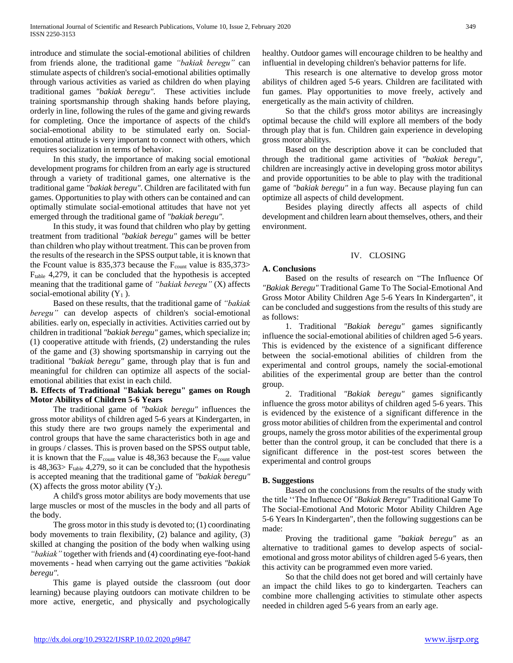introduce and stimulate the social-emotional abilities of children from friends alone, the traditional game *"bakiak beregu"* can stimulate aspects of children's social-emotional abilities optimally through various activities as varied as children do when playing traditional games *"bakiak beregu".* These activities include training sportsmanship through shaking hands before playing, orderly in line, following the rules of the game and giving rewards for completing. Once the importance of aspects of the child's social-emotional ability to be stimulated early on. Socialemotional attitude is very important to connect with others, which requires socialization in terms of behavior.

 In this study, the importance of making social emotional development programs for children from an early age is structured through a variety of traditional games, one alternative is the traditional game *"bakiak beregu"*. Children are facilitated with fun games. Opportunities to play with others can be contained and can optimally stimulate social-emotional attitudes that have not yet emerged through the traditional game of *"bakiak beregu".*

 In this study, it was found that children who play by getting treatment from traditional *"bakiak beregu"* games will be better than children who play without treatment. This can be proven from the results of the research in the SPSS output table, it is known that the Fcount value is  $835,373$  because the F<sub>count</sub> value is  $835,373$ Ftable 4,279, it can be concluded that the hypothesis is accepted meaning that the traditional game of *"bakiak beregu"* (X) affects social-emotional ability  $(Y_1)$ .

 Based on these results, that the traditional game of *"bakiak beregu"* can develop aspects of children's social-emotional abilities. early on, especially in activities. Activities carried out by children in traditional *"bakiak beregu"* games, which specialize in; (1) cooperative attitude with friends, (2) understanding the rules of the game and (3) showing sportsmanship in carrying out the traditional *"bakiak beregu"* game, through play that is fun and meaningful for children can optimize all aspects of the socialemotional abilities that exist in each child.

## **B. Effects of Traditional "Bakiak beregu" games on Rough Motor Abilitys of Children 5-6 Years**

 The traditional game of *"bakiak beregu"* influences the gross motor abilitys of children aged 5-6 years at Kindergarten, in this study there are two groups namely the experimental and control groups that have the same characteristics both in age and in groups / classes. This is proven based on the SPSS output table, it is known that the  $F_{\text{count}}$  value is 48,363 because the  $F_{\text{count}}$  value is  $48,363 > F_{table}$  4,279, so it can be concluded that the hypothesis is accepted meaning that the traditional game of *"bakiak beregu"* (X) affects the gross motor ability  $(Y_2)$ .

 A child's gross motor abilitys are body movements that use large muscles or most of the muscles in the body and all parts of the body.

 The gross motor in this study is devoted to; (1) coordinating body movements to train flexibility, (2) balance and agility, (3) skilled at changing the position of the body when walking using *"bakiak"* together with friends and (4) coordinating eye-foot-hand movements - head when carrying out the game activities *"bakiak beregu".*

 This game is played outside the classroom (out door learning) because playing outdoors can motivate children to be more active, energetic, and physically and psychologically

healthy. Outdoor games will encourage children to be healthy and influential in developing children's behavior patterns for life.

 This research is one alternative to develop gross motor abilitys of children aged 5-6 years. Children are facilitated with fun games. Play opportunities to move freely, actively and energetically as the main activity of children.

 So that the child's gross motor abilitys are increasingly optimal because the child will explore all members of the body through play that is fun. Children gain experience in developing gross motor abilitys.

 Based on the description above it can be concluded that through the traditional game activities of *"bakiak beregu"*, children are increasingly active in developing gross motor abilitys and provide opportunities to be able to play with the traditional game of *"bakiak beregu"* in a fun way. Because playing fun can optimize all aspects of child development.

 Besides playing directly affects all aspects of child development and children learn about themselves, others, and their environment.

## IV. CLOSING

## **A. Conclusions**

 Based on the results of research on "The Influence Of *"Bakiak Beregu"* Traditional Game To The Social-Emotional And Gross Motor Ability Children Age 5-6 Years In Kindergarten", it can be concluded and suggestions from the results of this study are as follows:

 1. Traditional *"Bakiak beregu"* games significantly influence the social-emotional abilities of children aged 5-6 years. This is evidenced by the existence of a significant difference between the social-emotional abilities of children from the experimental and control groups, namely the social-emotional abilities of the experimental group are better than the control group.

 2. Traditional *"Bakiak beregu"* games significantly influence the gross motor abilitys of children aged 5-6 years. This is evidenced by the existence of a significant difference in the gross motor abilities of children from the experimental and control groups, namely the gross motor abilities of the experimental group better than the control group, it can be concluded that there is a significant difference in the post-test scores between the experimental and control groups

# **B. Suggestions**

 Based on the conclusions from the results of the study with the title ''The Influence Of *"Bakiak Beregu"* Traditional Game To The Social-Emotional And Motoric Motor Ability Children Age 5-6 Years In Kindergarten", then the following suggestions can be made:

 Proving the traditional game *"bakiak beregu"* as an alternative to traditional games to develop aspects of socialemotional and gross motor abilitys of children aged 5-6 years, then this activity can be programmed even more varied.

 So that the child does not get bored and will certainly have an impact the child likes to go to kindergarten. Teachers can combine more challenging activities to stimulate other aspects needed in children aged 5-6 years from an early age.